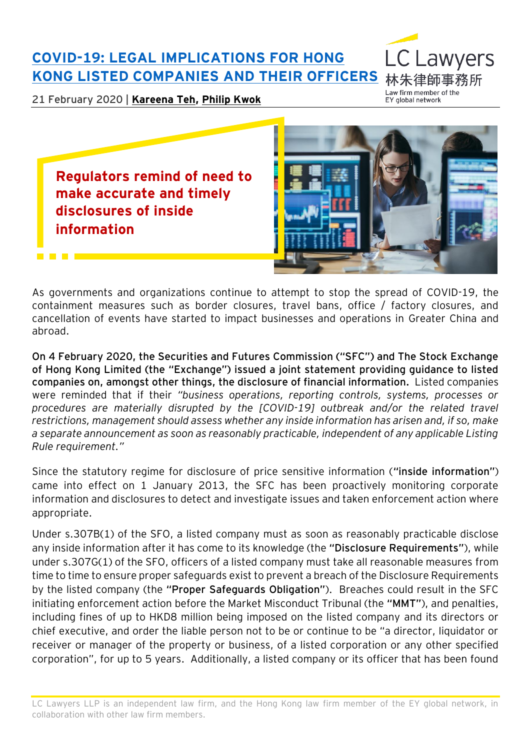## **[COVID-19: LEGAL IMPLICATIONS FOR HONG](https://www.eylaw.com.hk/en_hk/publications/our-latest-thinking/2020/feb/covid-19--legal-implications-for-hong-kong-listed-companies-and-their-officers)  [KONG LISTED COMPANIES AND THEIR OFFICERS](https://www.eylaw.com.hk/en_hk/publications/our-latest-thinking/2020/feb/covid-19--legal-implications-for-hong-kong-listed-companies-and-their-officers)**

21 February 2020 | **[Kareena Teh,](https://www.eylaw.com.hk/en_hk/people/kareena-teh) [Philip Kwok](https://www.eylaw.com.hk/en_hk/people/philip-kwok)**

Law firm member of the EY global network

C Lawyers

**Regulators remind of need to make accurate and timely disclosures of inside information**



As governments and organizations continue to attempt to stop the spread of COVID-19, the containment measures such as border closures, travel bans, office / factory closures, and cancellation of events have started to impact businesses and operations in Greater China and abroad.

**On 4 February 2020, the Securities and Futures Commission ("SFC") and The Stock Exchange of Hong Kong Limited (the "Exchange") issued a joint statement providing guidance to listed companies on, amongst other things, the disclosure of financial information.** Listed companies were reminded that if their *"business operations, reporting controls, systems, processes or procedures are materially disrupted by the [COVID-19] outbreak and/or the related travel restrictions, management should assess whether any inside information has arisen and, if so, make a separate announcement as soon as reasonably practicable, independent of any applicable Listing Rule requirement."*

Since the statutory regime for disclosure of price sensitive information (**"inside information"**) came into effect on 1 January 2013, the SFC has been proactively monitoring corporate information and disclosures to detect and investigate issues and taken enforcement action where appropriate.

Under s.307B(1) of the SFO, a listed company must as soon as reasonably practicable disclose any inside information after it has come to its knowledge (the **"Disclosure Requirements"**), while under s.307G(1) of the SFO, officers of a listed company must take all reasonable measures from time to time to ensure proper safeguards exist to prevent a breach of the Disclosure Requirements by the listed company (the **"Proper Safeguards Obligation"**). Breaches could result in the SFC initiating enforcement action before the Market Misconduct Tribunal (the **"MMT"**), and penalties, including fines of up to HKD8 million being imposed on the listed company and its directors or chief executive, and order the liable person not to be or continue to be "a director, liquidator or receiver or manager of the property or business, of a listed corporation or any other specified corporation", for up to 5 years. Additionally, a listed company or its officer that has been found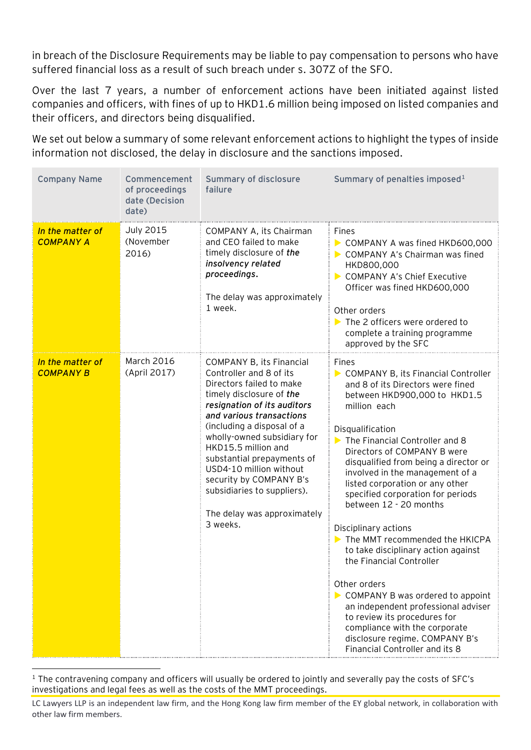in breach of the Disclosure Requirements may be liable to pay compensation to persons who have suffered financial loss as a result of such breach under s. 307Z of the SFO.

Over the last 7 years, a number of enforcement actions have been initiated against listed companies and officers, with fines of up to HKD1.6 million being imposed on listed companies and their officers, and directors being disqualified.

We set out below a summary of some relevant enforcement actions to highlight the types of inside information not disclosed, the delay in disclosure and the sanctions imposed.

| <b>Company Name</b>                  | Commencement<br>of proceedings<br>date (Decision<br>date) | Summary of disclosure<br>failure                                                                                                                                                                                                                                                                                                                                                                                                | Summary of penalties imposed <sup>1</sup>                                                                                                                                                                                                                                                                                                                                                                                                                                                                                                                                                                                                                                                                                                                         |
|--------------------------------------|-----------------------------------------------------------|---------------------------------------------------------------------------------------------------------------------------------------------------------------------------------------------------------------------------------------------------------------------------------------------------------------------------------------------------------------------------------------------------------------------------------|-------------------------------------------------------------------------------------------------------------------------------------------------------------------------------------------------------------------------------------------------------------------------------------------------------------------------------------------------------------------------------------------------------------------------------------------------------------------------------------------------------------------------------------------------------------------------------------------------------------------------------------------------------------------------------------------------------------------------------------------------------------------|
| In the matter of<br><b>COMPANY A</b> | <b>July 2015</b><br>(November<br>2016)                    | COMPANY A, its Chairman<br>and CEO failed to make<br>timely disclosure of the<br>insolvency related<br>proceedings.<br>The delay was approximately<br>1 week.                                                                                                                                                                                                                                                                   | Fines<br>COMPANY A was fined HKD600,000<br>COMPANY A's Chairman was fined<br>HKD800,000<br>COMPANY A's Chief Executive<br>Officer was fined HKD600,000<br>Other orders<br>$\triangleright$ The 2 officers were ordered to<br>complete a training programme<br>approved by the SFC                                                                                                                                                                                                                                                                                                                                                                                                                                                                                 |
| In the matter of<br><b>COMPANY B</b> | March 2016<br>(April 2017)                                | <b>COMPANY B, its Financial</b><br>Controller and 8 of its<br>Directors failed to make<br>timely disclosure of the<br>resignation of its auditors<br>and various transactions<br>(including a disposal of a<br>wholly-owned subsidiary for<br>HKD15.5 million and<br>substantial prepayments of<br>USD4-10 million without<br>security by COMPANY B's<br>subsidiaries to suppliers).<br>The delay was approximately<br>3 weeks. | Fines<br>COMPANY B, its Financial Controller<br>and 8 of its Directors were fined<br>between HKD900,000 to HKD1.5<br>million each<br>Disqualification<br>The Financial Controller and 8<br>Directors of COMPANY B were<br>disqualified from being a director or<br>involved in the management of a<br>listed corporation or any other<br>specified corporation for periods<br>between 12 - 20 months<br>Disciplinary actions<br>The MMT recommended the HKICPA<br>to take disciplinary action against<br>the Financial Controller<br>Other orders<br>COMPANY B was ordered to appoint<br>an independent professional adviser<br>to review its procedures for<br>compliance with the corporate<br>disclosure regime. COMPANY B's<br>Financial Controller and its 8 |

<sup>1</sup> The contravening company and officers will usually be ordered to jointly and severally pay the costs of SFC's investigations and legal fees as well as the costs of the MMT proceedings.

-

LC Lawyers LLP is an independent law firm, and the Hong Kong law firm member of the EY global network, in collaboration with other law firm members.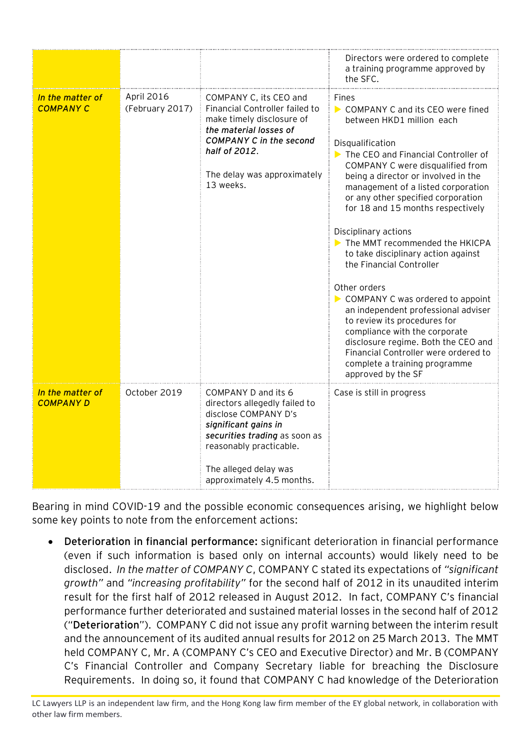|                                      |                               |                                                                                                                                                                                                                        | Directors were ordered to complete<br>a training programme approved by<br>the SFC.                                                                                                                                                                                                                                                                                                                                                                                                                                                                                                                                                                                                                                                                           |
|--------------------------------------|-------------------------------|------------------------------------------------------------------------------------------------------------------------------------------------------------------------------------------------------------------------|--------------------------------------------------------------------------------------------------------------------------------------------------------------------------------------------------------------------------------------------------------------------------------------------------------------------------------------------------------------------------------------------------------------------------------------------------------------------------------------------------------------------------------------------------------------------------------------------------------------------------------------------------------------------------------------------------------------------------------------------------------------|
| In the matter of<br><b>COMPANY C</b> | April 2016<br>(February 2017) | COMPANY C, its CEO and<br>Financial Controller failed to<br>make timely disclosure of<br>the material losses of<br><b>COMPANY C in the second</b><br>half of 2012.<br>The delay was approximately<br>13 weeks.         | Fines<br>COMPANY C and its CEO were fined<br>between HKD1 million each<br>Disqualification<br>The CEO and Financial Controller of<br>COMPANY C were disqualified from<br>being a director or involved in the<br>management of a listed corporation<br>or any other specified corporation<br>for 18 and 15 months respectively<br>Disciplinary actions<br>The MMT recommended the HKICPA<br>to take disciplinary action against<br>the Financial Controller<br>Other orders<br>COMPANY C was ordered to appoint<br>an independent professional adviser<br>to review its procedures for<br>compliance with the corporate<br>disclosure regime. Both the CEO and<br>Financial Controller were ordered to<br>complete a training programme<br>approved by the SF |
| In the matter of<br><b>COMPANY D</b> | October 2019                  | COMPANY D and its 6<br>directors allegedly failed to<br>disclose COMPANY D's<br>significant gains in<br>securities trading as soon as<br>reasonably practicable.<br>The alleged delay was<br>approximately 4.5 months. | Case is still in progress                                                                                                                                                                                                                                                                                                                                                                                                                                                                                                                                                                                                                                                                                                                                    |

Bearing in mind COVID-19 and the possible economic consequences arising, we highlight below some key points to note from the enforcement actions:

 **Deterioration in financial performance:** significant deterioration in financial performance (even if such information is based only on internal accounts) would likely need to be disclosed. *In the matter of COMPANY C*, COMPANY C stated its expectations of *"significant growth"* and *"increasing profitability"* for the second half of 2012 in its unaudited interim result for the first half of 2012 released in August 2012. In fact, COMPANY C's financial performance further deteriorated and sustained material losses in the second half of 2012 ("**Deterioration**"). COMPANY C did not issue any profit warning between the interim result and the announcement of its audited annual results for 2012 on 25 March 2013. The MMT held COMPANY C, Mr. A (COMPANY C's CEO and Executive Director) and Mr. B (COMPANY C's Financial Controller and Company Secretary liable for breaching the Disclosure Requirements. In doing so, it found that COMPANY C had knowledge of the Deterioration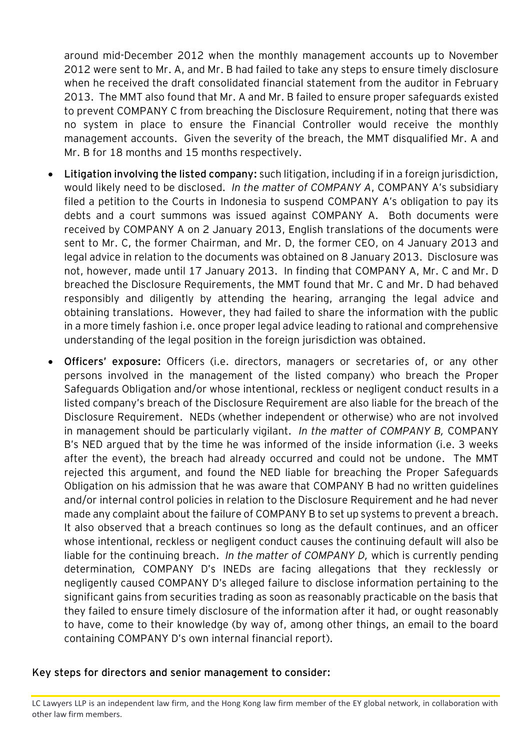around mid-December 2012 when the monthly management accounts up to November 2012 were sent to Mr. A, and Mr. B had failed to take any steps to ensure timely disclosure when he received the draft consolidated financial statement from the auditor in February 2013. The MMT also found that Mr. A and Mr. B failed to ensure proper safeguards existed to prevent COMPANY C from breaching the Disclosure Requirement, noting that there was no system in place to ensure the Financial Controller would receive the monthly management accounts. Given the severity of the breach, the MMT disqualified Mr. A and Mr. B for 18 months and 15 months respectively.

- **Litigation involving the listed company:** such litigation, including if in a foreign jurisdiction, would likely need to be disclosed. *In the matter of COMPANY A*, COMPANY A's subsidiary filed a petition to the Courts in Indonesia to suspend COMPANY A's obligation to pay its debts and a court summons was issued against COMPANY A. Both documents were received by COMPANY A on 2 January 2013, English translations of the documents were sent to Mr. C, the former Chairman, and Mr. D, the former CEO, on 4 January 2013 and legal advice in relation to the documents was obtained on 8 January 2013. Disclosure was not, however, made until 17 January 2013. In finding that COMPANY A, Mr. C and Mr. D breached the Disclosure Requirements, the MMT found that Mr. C and Mr. D had behaved responsibly and diligently by attending the hearing, arranging the legal advice and obtaining translations. However, they had failed to share the information with the public in a more timely fashion i.e. once proper legal advice leading to rational and comprehensive understanding of the legal position in the foreign jurisdiction was obtained.
- **Officers' exposure:** Officers (i.e. directors, managers or secretaries of, or any other persons involved in the management of the listed company) who breach the Proper Safeguards Obligation and/or whose intentional, reckless or negligent conduct results in a listed company's breach of the Disclosure Requirement are also liable for the breach of the Disclosure Requirement. NEDs (whether independent or otherwise) who are not involved in management should be particularly vigilant. *In the matter of COMPANY B,* COMPANY B's NED argued that by the time he was informed of the inside information (i.e. 3 weeks after the event), the breach had already occurred and could not be undone. The MMT rejected this argument, and found the NED liable for breaching the Proper Safeguards Obligation on his admission that he was aware that COMPANY B had no written guidelines and/or internal control policies in relation to the Disclosure Requirement and he had never made any complaint about the failure of COMPANY B to set up systems to prevent a breach. It also observed that a breach continues so long as the default continues, and an officer whose intentional, reckless or negligent conduct causes the continuing default will also be liable for the continuing breach. *In the matter of COMPANY D,* which is currently pending determination*,* COMPANY D's INEDs are facing allegations that they recklessly or negligently caused COMPANY D's alleged failure to disclose information pertaining to the significant gains from securities trading as soon as reasonably practicable on the basis that they failed to ensure timely disclosure of the information after it had, or ought reasonably to have, come to their knowledge (by way of, among other things, an email to the board containing COMPANY D's own internal financial report).

## **Key steps for directors and senior management to consider:**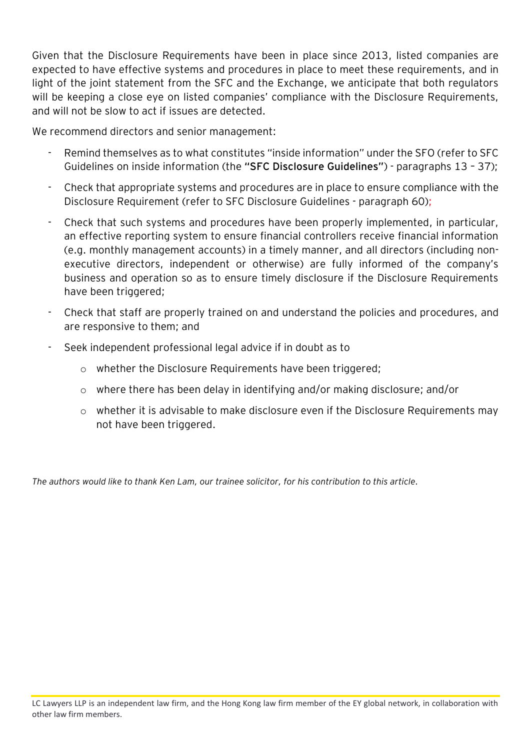Given that the Disclosure Requirements have been in place since 2013, listed companies are expected to have effective systems and procedures in place to meet these requirements, and in light of the joint statement from the SFC and the Exchange, we anticipate that both regulators will be keeping a close eye on listed companies' compliance with the Disclosure Requirements, and will not be slow to act if issues are detected.

We recommend directors and senior management:

- Remind themselves as to what constitutes "inside information" under the SFO (refer to SFC Guidelines on inside information (the **"SFC Disclosure Guidelines"**) - paragraphs 13 – 37);
- Check that appropriate systems and procedures are in place to ensure compliance with the Disclosure Requirement (refer to SFC Disclosure Guidelines - paragraph 60);
- Check that such systems and procedures have been properly implemented, in particular, an effective reporting system to ensure financial controllers receive financial information (e.g. monthly management accounts) in a timely manner, and all directors (including nonexecutive directors, independent or otherwise) are fully informed of the company's business and operation so as to ensure timely disclosure if the Disclosure Requirements have been triggered;
- Check that staff are properly trained on and understand the policies and procedures, and are responsive to them; and
- Seek independent professional legal advice if in doubt as to
	- o whether the Disclosure Requirements have been triggered;
	- o where there has been delay in identifying and/or making disclosure; and/or
	- o whether it is advisable to make disclosure even if the Disclosure Requirements may not have been triggered.

*The authors would like to thank Ken Lam, our trainee solicitor, for his contribution to this article.*